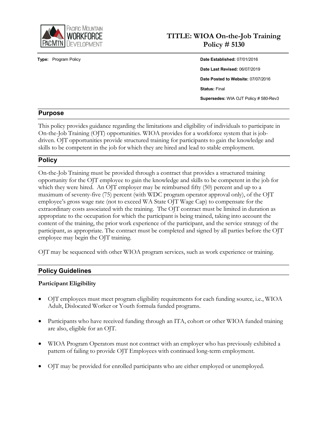

# **TITLE: WIOA On-the-Job Training Policy # 5130**

**Type:** Program Policy **Date Established:** 07/01/2016 **Date Last Revised:** 06/07/2019 **Date Posted to Website:** 07/07/2016 **Status:** Final **Supersedes:** WIA OJT Policy # 580-Rev3

# **Purpose**

This policy provides guidance regarding the limitations and eligibility of individuals to participate in On-the-Job Training (OJT) opportunities. WIOA provides for a workforce system that is jobdriven. OJT opportunities provide structured training for participants to gain the knowledge and skills to be competent in the job for which they are hired and lead to stable employment.

# **Policy**

On-the-Job Training must be provided through a contract that provides a structured training opportunity for the OJT employee to gain the knowledge and skills to be competent in the job for which they were hired. An OJT employer may be reimbursed fifty (50) percent and up to a maximum of seventy-five (75) percent (with WDC program operator approval only), of the OJT employee's gross wage rate (not to exceed WA State OJT Wage Cap) to compensate for the extraordinary costs associated with the training. The OJT contract must be limited in duration as appropriate to the occupation for which the participant is being trained, taking into account the content of the training, the prior work experience of the participant, and the service strategy of the participant, as appropriate. The contract must be completed and signed by all parties before the OJT employee may begin the OJT training.

OJT may be sequenced with other WIOA program services, such as work experience or training.

# **Policy Guidelines**

# **Participant Eligibility**

- OJT employees must meet program eligibility requirements for each funding source, i.e., WIOA Adult, Dislocated Worker or Youth formula funded programs.
- Participants who have received funding through an ITA, cohort or other WIOA funded training are also, eligible for an OJT.
- WIOA Program Operators must not contract with an employer who has previously exhibited a pattern of failing to provide OJT Employees with continued long-term employment.
- OJT may be provided for enrolled participants who are either employed or unemployed.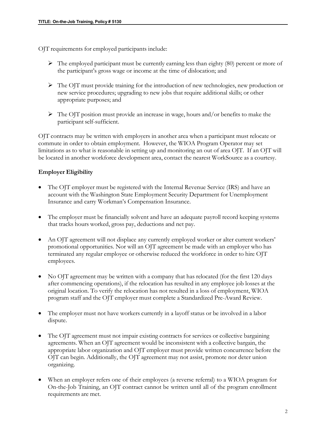OJT requirements for employed participants include:

- $\triangleright$  The employed participant must be currently earning less than eighty (80) percent or more of the participant's gross wage or income at the time of dislocation; and
- The OJT must provide training for the introduction of new technologies, new production or new service procedures; upgrading to new jobs that require additional skills; or other appropriate purposes; and
- $\triangleright$  The OJT position must provide an increase in wage, hours and/or benefits to make the participant self-sufficient.

OJT contracts may be written with employers in another area when a participant must relocate or commute in order to obtain employment. However, the WIOA Program Operator may set limitations as to what is reasonable in setting up and monitoring an out of area OJT. If an OJT will be located in another workforce development area, contact the nearest WorkSource as a courtesy.

# **Employer Eligibility**

- The OJT employer must be registered with the Internal Revenue Service (IRS) and have an account with the Washington State Employment Security Department for Unemployment Insurance and carry Workman's Compensation Insurance.
- The employer must be financially solvent and have an adequate payroll record keeping systems that tracks hours worked, gross pay, deductions and net pay.
- An OJT agreement will not displace any currently employed worker or alter current workers' promotional opportunities. Nor will an OJT agreement be made with an employer who has terminated any regular employee or otherwise reduced the workforce in order to hire OJT employees.
- No OJT agreement may be written with a company that has relocated (for the first 120 days after commencing operations), if the relocation has resulted in any employee job losses at the original location. To verify the relocation has not resulted in a loss of employment, WIOA program staff and the OJT employer must complete a Standardized Pre-Award Review.
- The employer must not have workers currently in a layoff status or be involved in a labor dispute.
- The OJT agreement must not impair existing contracts for services or collective bargaining agreements. When an OJT agreement would be inconsistent with a collective bargain, the appropriate labor organization and OJT employer must provide written concurrence before the OJT can begin. Additionally, the OJT agreement may not assist, promote nor deter union organizing.
- When an employer refers one of their employees (a reverse referral) to a WIOA program for On-the-Job Training, an OJT contract cannot be written until all of the program enrollment requirements are met.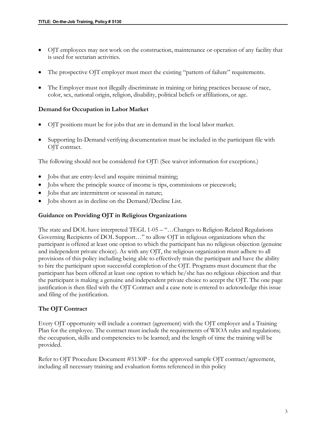- OJT employees may not work on the construction, maintenance or operation of any facility that is used for sectarian activities.
- The prospective OJT employer must meet the existing "pattern of failure" requirements.
- The Employer must not illegally discriminate in training or hiring practices because of race, color, sex, national origin, religion, disability, political beliefs or affiliations, or age.

#### **Demand for Occupation in Labor Market**

- OJT positions must be for jobs that are in demand in the local labor market.
- Supporting In-Demand verifying documentation must be included in the participant file with OJT contract.

The following should not be considered for OJT: (See waiver information for exceptions.)

- Jobs that are entry-level and require minimal training;
- Jobs where the principle source of income is tips, commissions or piecework;
- Jobs that are intermittent or seasonal in nature;
- Jobs shown as in decline on the Demand/Decline List.

#### **Guidance on Providing OJT in Religious Organizations**

The state and DOL have interpreted TEGL 1-05 – "…Changes to Religion-Related Regulations Governing Recipients of DOL Support…" to allow OJT in religious organizations when the participant is offered at least one option to which the participant has no religious objection (genuine and independent private choice). As with any OJT, the religious organization must adhere to all provisions of this policy including being able to effectively train the participant and have the ability to hire the participant upon successful completion of the OJT. Programs must document that the participant has been offered at least one option to which he/she has no religious objection and that the participant is making a genuine and independent private choice to accept the OJT. The one page justification is then filed with the OJT Contract and a case note is entered to acknowledge this issue and filing of the justification.

#### **The OJT Contract**

Every OJT opportunity will include a contract (agreement) with the OJT employer and a Training Plan for the employee. The contract must include the requirements of WIOA rules and regulations; the occupation, skills and competencies to be learned; and the length of time the training will be provided.

Refer to OJT Procedure Document #5130P - for the approved sample OJT contract/agreement, including all necessary training and evaluation forms referenced in this policy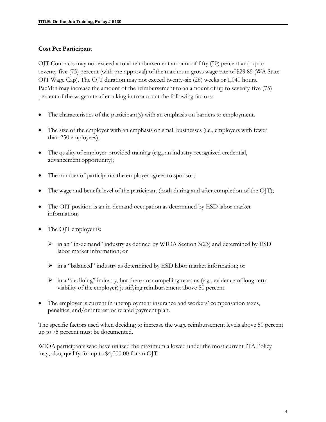#### **Cost Per Participant**

OJT Contracts may not exceed a total reimbursement amount of fifty (50) percent and up to seventy-five (75) percent (with pre-approval) of the maximum gross wage rate of \$29.85 (WA State OJT Wage Cap). The OJT duration may not exceed twenty-six (26) weeks or 1,040 hours. PacMtn may increase the amount of the reimbursement to an amount of up to seventy-five (75) percent of the wage rate after taking in to account the following factors:

- The characteristics of the participant(s) with an emphasis on barriers to employment.
- The size of the employer with an emphasis on small businesses (i.e., employers with fewer than 250 employees);
- The quality of employer-provided training (e.g., an industry-recognized credential, advancement opportunity);
- The number of participants the employer agrees to sponsor;
- The wage and benefit level of the participant (both during and after completion of the OJT);
- The OJT position is an in-demand occupation as determined by ESD labor market information;
- The OJT employer is:
	- $\triangleright$  in an "in-demand" industry as defined by WIOA Section 3(23) and determined by ESD labor market information; or
	- in a "balanced" industry as determined by ESD labor market information; or
	- $\triangleright$  in a "declining" industry, but there are compelling reasons (e.g., evidence of long-term viability of the employer) justifying reimbursement above 50 percent.
- The employer is current in unemployment insurance and workers' compensation taxes, penalties, and/or interest or related payment plan.

The specific factors used when deciding to increase the wage reimbursement levels above 50 percent up to 75 percent must be documented.

WIOA participants who have utilized the maximum allowed under the most current ITA Policy may, also, qualify for up to \$4,000.00 for an OJT.